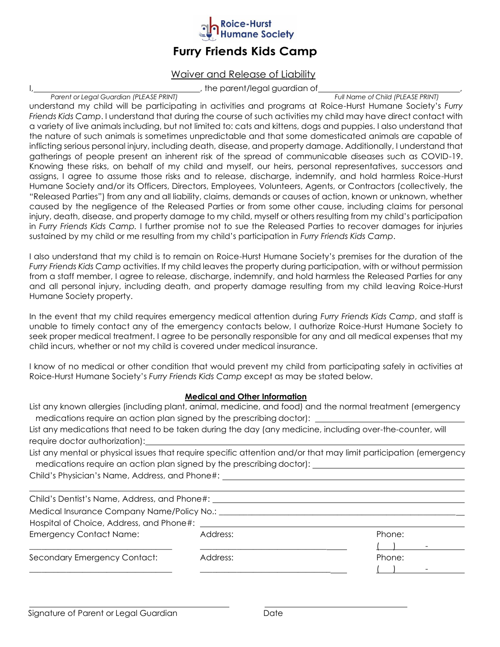

## **Furry Friends Kids Camp**

### Waiver and Release of Liability

 $\mu$ , the parent/legal guardian of  $\mu$  ,  $\mu$  and  $\mu$  and  $\sigma$  child (PLEASE PRINT)

*Parent or Legal Guardian (PLEASE PRINT)* 

understand my child will be participating in activities and programs at Roice-Hurst Humane Society's *Furry Friends Kids Camp*. I understand that during the course of such activities my child may have direct contact with a variety of live animals including, but not limited to: cats and kittens, dogs and puppies. I also understand that the nature of such animals is sometimes unpredictable and that some domesticated animals are capable of inflicting serious personal injury, including death, disease, and property damage. Additionally, I understand that gatherings of people present an inherent risk of the spread of communicable diseases such as COVID-19. Knowing these risks, on behalf of my child and myself, our heirs, personal representatives, successors and assigns, I agree to assume those risks and to release, discharge, indemnify, and hold harmless Roice-Hurst Humane Society and/or its Officers, Directors, Employees, Volunteers, Agents, or Contractors (collectively, the "Released Parties") from any and all liability, claims, demands or causes of action, known or unknown, whether caused by the negligence of the Released Parties or from some other cause, including claims for personal injury, death, disease, and property damage to my child, myself or others resulting from my child's participation in *Furry Friends Kids Camp.* I further promise not to sue the Released Parties to recover damages for injuries sustained by my child or me resulting from my child's participation in *Furry Friends Kids Camp*.

I also understand that my child is to remain on Roice-Hurst Humane Society's premises for the duration of the *Furry Friends Kids Camp* activities. If my child leaves the property during participation, with or without permission from a staff member, I agree to release, discharge, indemnify, and hold harmless the Released Parties for any and all personal injury, including death, and property damage resulting from my child leaving Roice-Hurst Humane Society property.

In the event that my child requires emergency medical attention during *Furry Friends Kids Camp*, and staff is unable to timely contact any of the emergency contacts below, I authorize Roice-Hurst Humane Society to seek proper medical treatment. I agree to be personally responsible for any and all medical expenses that my child incurs, whether or not my child is covered under medical insurance.

I know of no medical or other condition that would prevent my child from participating safely in activities at Roice-Hurst Humane Society's *Furry Friends Kids Camp* except as may be stated below.

#### **Medical and Other Information**

List any known allergies (including plant, animal, medicine, and food) and the normal treatment (emergency medications require an action plan signed by the prescribing doctor):

List any medications that need to be taken during the day (any medicine, including over-the-counter, will require doctor authorization):

List any mental or physical issues that require specific attention and/or that may limit participation (emergency medications require an action plan signed by the prescribing doctor):

Child's Physician's Name, Address, and Phone#:

| Child's Dentist's Name, Address, and Phone#:   |          |        |
|------------------------------------------------|----------|--------|
| Medical Insurance Company Name/Policy No.: ___ |          |        |
| Hospital of Choice, Address, and Phone#:       |          |        |
| <b>Emergency Contact Name:</b>                 | Address: | Phone: |
|                                                |          |        |
| Secondary Emergency Contact:                   | Address: | Phone: |
|                                                |          |        |